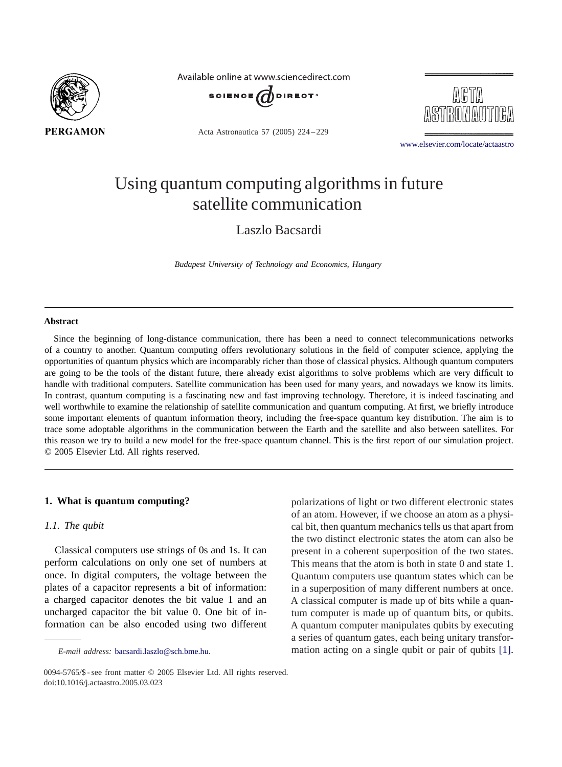

Available online at www.sciencedirect.com





Acta Astronautica 57 (2005) 224 – 229

#### www.elsevier.com/locate/actaastro

# Using quantum computing algorithms in future satellite communication

Laszlo Bacsardi

*Budapest University of Technology and Economics, Hungary*

# **Abstract**

Since the beginning of long-distance communication, there has been a need to connect telecommunications networks of a country to another. Quantum computing offers revolutionary solutions in the field of computer science, applying the opportunities of quantum physics which are incomparably richer than those of classical physics. Although quantum computers are going to be the tools of the distant future, there already exist algorithms to solve problems which are very difficult to handle with traditional computers. Satellite communication has been used for many years, and nowadays we know its limits. In contrast, quantum computing is a fascinating new and fast improving technology. Therefore, it is indeed fascinating and well worthwhile to examine the relationship of satellite communication and quantum computing. At first, we briefly introduce some important elements of quantum information theory, including the free-space quantum key distribution. The aim is to trace some adoptable algorithms in the communication between the Earth and the satellite and also between satellites. For this reason we try to build a new model for the free-space quantum channel. This is the first report of our simulation project. © 2005 Elsevier Ltd. All rights reserved.

# **1. What is quantum computing?**

# *1.1. The qubit*

Classical computers use strings of 0s and 1s. It can perform calculations on only one set of numbers at once. In digital computers, the voltage between the plates of a capacitor represents a bit of information: a charged capa[citor](mailto:bacsardi.laszlo@sch.bme.hu) [denotes](mailto:bacsardi.laszlo@sch.bme.hu) [the](mailto:bacsardi.laszlo@sch.bme.hu) [bit](mailto:bacsardi.laszlo@sch.bme.hu) [va](mailto:bacsardi.laszlo@sch.bme.hu)lue 1 and an uncharged capacitor the bit value 0. One bit of information can be also encoded using two different

*E-mail address:* bacsardi.laszlo@sch.bme.hu.

polarizations of light or two different electronic states of an atom. However, if we choose an atom as a physical bit, then quantum mechanics tells us that apart from the two distinct electronic states the atom can also be present in a coherent superposition of the two states. This means that the atom is both in state 0 and state 1. Quantum computers use quantum states which can be in a superposition of many different numbers at once. A classical computer is made up of bits while a q[uan](#page-5-0)tum computer is made up of quantum bits, or qubits. A quantum computer manipulates qubits by executing a series of quantum gates, each being unitary transformation acting on a single qubit or pair of qubits  $[1]$ .

<sup>0094-5765/\$ -</sup> see front matter © 2005 Elsevier Ltd. All rights reserved. doi:10.1016/j.actaastro.2005.03.023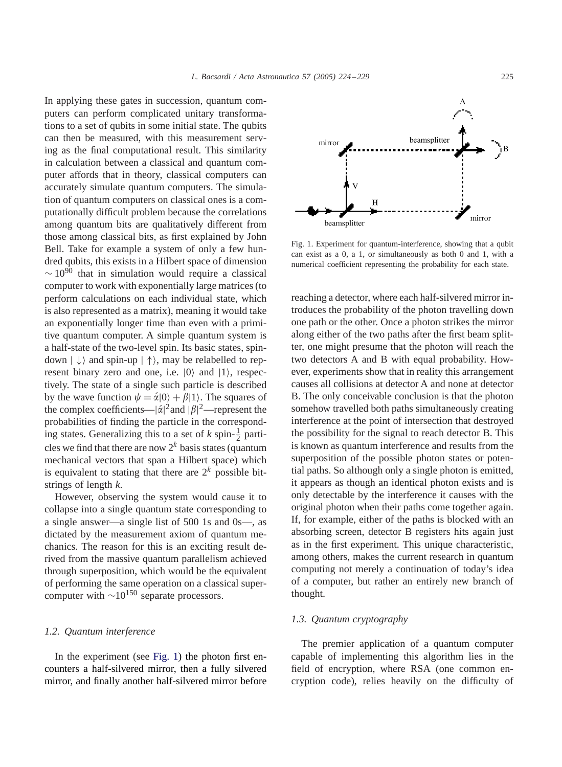In applying these gates in succession, quantum computers can perform complicated unitary transformations to a set of qubits in some initial state. The qubits can then be measured, with this measurement serving as the final computational result. This similarity in calculation between a classical and quantum computer affords that in theory, classical computers can accurately simulate quantum computers. The simulation of quantum computers on classical ones is a computationally difficult problem because the correlations among quantum bits are qualitatively different from those among classical bits, as first explained by John Bell. Take for example a system of only a few hundred qubits, this exists in a Hilbert space of dimension  $~\sim 10^{90}$  that in simulation would require a classical computer to work with exponentially large matrices (to perform calculations on each individual state, which is also represented as a matrix), meaning it would take an exponentially longer time than even with a primitive quantum computer. A simple quantum system is a half-state of the two-level spin. Its basic states, spindown  $|\downarrow\rangle$  and spin-up  $|\uparrow\rangle$ , may be relabelled to represent binary zero and one, i.e.  $|0\rangle$  and  $|1\rangle$ , respectively. The state of a single such particle is described by the wave function  $\psi = \alpha |0\rangle + \beta |1\rangle$ . The squares of the complex coefficients— $|\hat{\alpha}|^2$  and  $|\beta|^2$ —represent the probabilities of finding the particle in the corresponding states. Generalizing this to a set of  $k$  spin- $\frac{1}{2}$  particles we find that there are now  $2^k$  basis states (quantum mechanical vectors that span a Hilbert space) which is equivalent to stating that there are  $2^k$  possible bitstrings of length *k*.

However, observing the system would cause it to collapse into a single quantum state corresponding to a single answer—a single list of 500 1s and 0s—, as dictated by the measurement axiom of quantum mechanics. The reason for this is an exciting result derived from the massive quantum parallelism achieved through superposition, which would be the equivalent of performing the same operation on a classical supercomputer with  $\sim 10^{150}$  separate processors.

#### *1.2. Quantum interference*

In the experiment (see Fig. 1) the photon first encounters a half-silvered mirror, then a fully silvered mirror, and finally another half-silvered mirror before



Fig. 1. Experiment for quantum-interference, showing that a qubit can exist as a 0, a 1, or simultaneously as both 0 and 1, with a numerical coefficient representing the probability for each state.

reaching a detector, where each half-silvered mirror introduces the probability of the photon travelling down one path or the other. Once a photon strikes the mirror along either of the two paths after the first beam splitter, one might presume that the photon will reach the two detectors A and B with equal probability. However, experiments show that in reality this arrangement causes all collisions at detector A and none at detector B. The only conceivable conclusion is that the photon somehow travelled both paths simultaneously creating interference at the point of intersection that destroyed the possibility for the signal to reach detector B. This is known as quantum interference and results from the superposition of the possible photon states or potential paths. So although only a single photon is emitted, it appears as though an identical photon exists and is only detectable by the interference it causes with the original photon when their paths come together again. If, for example, either of the paths is blocked with an absorbing screen, detector B registers hits again just as in the first experiment. This unique characteristic, among others, makes the current research in quantum computing not merely a continuation of today's idea of a computer, but rather an entirely new branch of thought.

## *1.3. Quantum cryptography*

The premier application of a quantum computer capable of implementing this algorithm lies in the field of encryption, where RSA (one common encryption code), relies heavily on the difficulty of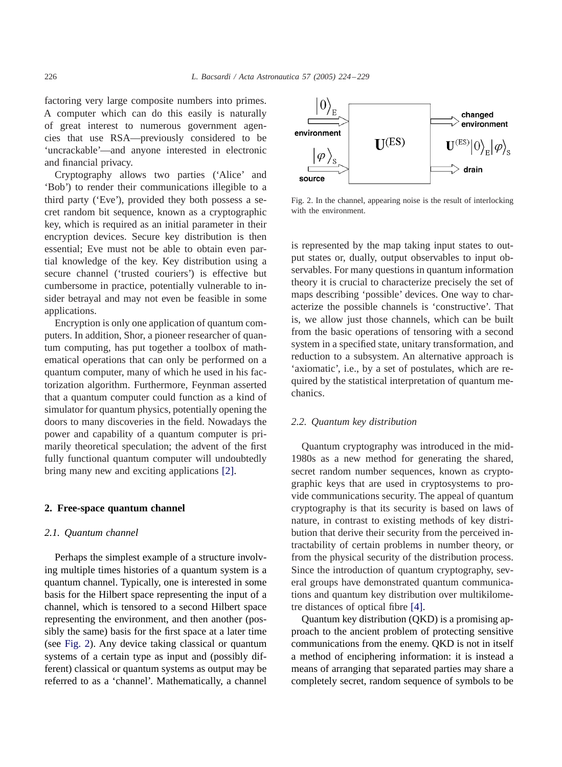factoring very large composite numbers into primes. A computer which can do this easily is naturally of great interest to numerous government agencies that use RSA—previously considered to be 'uncrackable'—and anyone interested in electronic and financial privacy.

Cryptography allows two parties ('Alice' and 'Bob') to render their communications illegible to a third party ('Eve'), provided they both possess a secret random bit sequence, known as a cryptographic key, which is required as an initial parameter in their encryption devices. Secure key distribution is then essential; Eve must not be able to obtain even partial knowledge of the key. Key distribution using a secure channel ('trusted couriers') is effective but cumbersome in practice, potentially vulnerable to insider betrayal and may not even be feasible in some applications.

Encryption is only one application of quantum computers. In addition, Shor, a pioneer researcher of quantum computing, has put together a toolbox of mathematical operations that can only be performed on a quantum computer, many of which he used in his factorization algorithm. Furthermore, Feynman asserted that a quantum computer could function as a kind of simulator for quantum physics, potentially opening the doors to many discoveries in the field. No[wad](#page-5-0)ays the power and capability of a quantum computer is primarily theoretical speculation; the advent of the first fully functional quantum computer will undoubtedly bring many new and exciting applications [2].

# **2. Free-space quantum channel**

#### *2.1. Quantum channel*

Perhaps the simplest example of a structure involving multiple times histories of a quantum system is a quantum channel. Typically, one is interested in some basis for the Hilbert space representing the input of a channel, which is tensored to a second Hilbert space representing the environment, and then another (possibly the same) basis for the first space at a later time (see Fig. 2). Any device taking classical or quantum systems of a certain type as input and (possibly different) classical or quantum systems as output may be referred to as a 'channel'. Mathematically, a channel



Fig. 2. In the channel, appearing noise is the result of interlocking with the environment.

is represented by the map taking input states to output states or, dually, output observables to input observables. For many questions in quantum information theory it is crucial to characterize precisely the set of maps describing 'possible' devices. One way to characterize the possible channels is 'constructive'. That is, we allow just those channels, which can be built from the basic operations of tensoring with a second system in a specified state, unitary transformation, and reduction to a subsystem. An alternative approach is 'axiomatic', i.e., by a set of postulates, which are required by the statistical interpretation of quantum mechanics.

#### *2.2. Quantum key distribution*

Quantum cryptography was introduced in the mid-1980s as a new method for generating the shared, secret random number sequences, known as cryptographic keys that are used in cryptosystems to provide communications security. The appeal of quantum cryptography is that its security is based on laws of nature, in contrast to existing methods of key distribution that derive their security from the perceived intractability of certain problems in number theory, or from the physical security o[f](#page-5-0) [the](#page-5-0) distribution process. Since the introduction of quantum cryptography, several groups have demonstrated quantum communications and quantum key distribution over multikilometre distances of optical fibre [4].

Quantum key distribution (QKD) is a promising approach to the ancient problem of protecting sensitive communications from the enemy. QKD is not in itself a method of enciphering information: it is instead a means of arranging that separated parties may share a completely secret, random sequence of symbols to be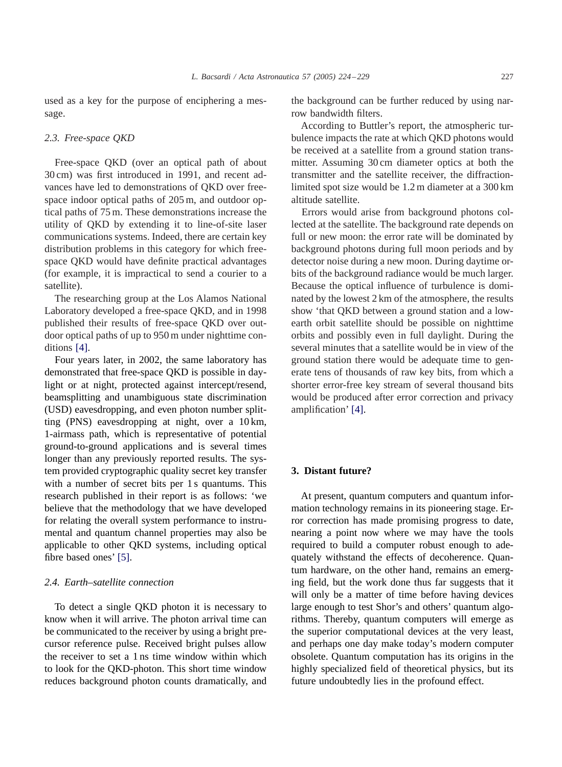used as a key for the purpose of enciphering a message.

# *2.3. Free-space QKD*

Free-space QKD (over an optical path of about 30 cm) was first introduced in 1991, and recent advances have led to demonstrations of QKD over freespace indoor optical paths of 205 m, and outdoor optical paths of 75 m. These demonstrations increase the utility of QKD by extending it to line-of-site laser communications systems. Indeed, there are certain key distribution problems in this category for which freespace QKD would have definite practical advantages (for example, it is impractical to send a courier to a satellite).

The [rese](#page-5-0)arching group at the Los Alamos National Laboratory developed a free-space QKD, and in 1998 published their results of free-space QKD over outdoor optical paths of up to 950 m under nighttime conditions [4].

Four years later, in 2002, the same laboratory has demonstrated that free-space QKD is possible in daylight or at night, protected against intercept/resend, beamsplitting and unambiguous state discrimination (USD) eavesdropping, and even photon number splitting (PNS) eavesdropping at night, over a 10 km, 1-airmass path, which is representative of potential ground-to-ground applications and is several times longer than any previously reported results. The system provided cryptographic quality secret key transfer with a number of secret bits per  $1 \text{ s}$  quantums. This research published in their report is as follows: 'we believe that the [meth](#page-5-0)odology that we have developed for relating the overall system performance to instrumental and quantum channel properties may also be applicable to other QKD systems, including optical fibre based ones' [5].

#### *2.4. Earth–satellite connection*

To detect a single QKD photon it is necessary to know when it will arrive. The photon arrival time can be communicated to the receiver by using a bright precursor reference pulse. Received bright pulses allow the receiver to set a 1 ns time window within which to look for the QKD-photon. This short time window reduces background photon counts dramatically, and the background can be further reduced by using narrow bandwidth filters.

According to Buttler's report, the atmospheric turbulence impacts the rate at which QKD photons would be received at a satellite from a ground station transmitter. Assuming 30 cm diameter optics at both the transmitter and the satellite receiver, the diffractionlimited spot size would be 1.2 m diameter at a 300 km altitude satellite.

Errors would arise from background photons collected at the satellite. The background rate depends on full or new moon: the error rate will be dominated by background photons during full moon periods and by detector noise during a new moon. During daytime orbits of the background radiance would be much larger. Because the optical influence of turbulence is dominated by the lowest 2 km of the atmosphere, the results show 'that QKD between a ground station and a lowearth orbit satellite should be possible on nighttime orbits and possibly even in full daylight. During the several minutes that a satellite would be in view of the ground statio[n](#page-5-0) [the](#page-5-0)re would be adequate time to generate tens of thousands of raw key bits, from which a shorter error-free key stream of several thousand bits would be produced after error correction and privacy amplification' [4].

#### **3. Distant future?**

At present, quantum computers and quantum information technology remains in its pioneering stage. Error correction has made promising progress to date, nearing a point now where we may have the tools required to build a computer robust enough to adequately withstand the effects of decoherence. Quantum hardware, on the other hand, remains an emerging field, but the work done thus far suggests that it will only be a matter of time before having devices large enough to test Shor's and others' quantum algorithms. Thereby, quantum computers will emerge as the superior computational devices at the very least, and perhaps one day make today's modern computer obsolete. Quantum computation has its origins in the highly specialized field of theoretical physics, but its future undoubtedly lies in the profound effect.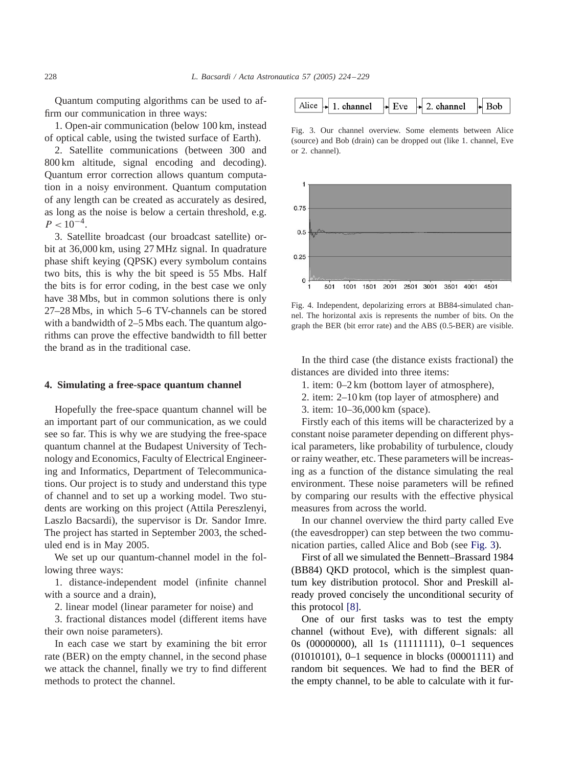Quantum computing algorithms can be used to affirm our communication in three ways:

1. Open-air communication (below 100 km, instead of optical cable, using the twisted surface of Earth).

# 2. Satellite communications (between 300 and 800 km altitude, signal encoding and decoding). Quantum error correction allows quantum computation in a noisy environment. Quantum computation ofany length can be created as accurately as desired, as long as the noise is below a certain threshold, e.g.  $P < 10^{-4}$ .

3. Satellite broadcast (our broadcast satellite) orbit at 36,000 km, using 27 MHz signal. In quadrature phase shift keying (QPSK) every symbolum contains two bits, this is why the bit speed is 55 Mbs. Half the bits is for error coding, in the best case we only have 38 Mbs, but in common solutions there is only 27–28 Mbs, in which 5–6 TV-channels can be stored with a bandwidth of  $2-5$  Mbs each. The quantum algorithms can prove the effective bandwidth to fill better the brand as in the traditional case.

# **4. Simulating a free-space quantum channel**

Hopefully the free-space quantum channel will be an important part of our communication, as we could see so far. This is why we are studying the free-space quantum channel at the Budapest University of Technology and Economics, Faculty of Electrical Engineering and Informatics, Department of Telecommunications. Our project is to study and understand this type of channel and to set up a working model. Two students are working on this project (Attila Pereszlenyi, Laszlo Bacsardi), the supervisor is Dr. Sandor Imre. The project has started in September 2003, the scheduled end is in May 2005.

We set up our quantum-channel model in the following three ways:

1. distance-independent model (infinite channel with a source and a drain),

2. linear model (linear parameter for noise) and

3. fractional distances model (different items have their own noise parameters).

In each case we start by examining the bit error rate (BER) on the empty channel, in the second phase we attack the channel, finally we try to find different methods to protect the channel.



Fig. 3. Our channel overview. Some elements between Alice (source) and Bob (drain) can be dropped out (like 1. channel, Eve or 2. channel).



Fig. 4. Independent, depolarizing errors at BB84-simulated channel. The horizontal axis is represents the number of bits. On the graph the BER (bit error rate) and the ABS (0.5-BER) are visible.

In the third case (the distance exists fractional) the distances are divided into three items:

1. item:  $0-2$  km (bottom layer of atmosphere),

2. item:  $2-10 \text{ km}$  (top layer of atmosphere) and

3. item: 10–36,000 km (space).

Firstly each of this items will be characterized by a constant noise parameter depending on different physical parameters, like probability of turbulence, cloudy or rainy weather, etc. These parameters will be increasing as a function of the distance simulating the real environment. These noise parameters will be refined by comparing our results with the effective physical measures from across the world.

In our channel overview the third party called Eve (the eavesdropper) can step between the two communication parties, called Alice and Bob (see Fig. 3).

First of all [we](#page-5-0) simulated the Bennett–Brassard 1984 (BB84) QKD protocol, which is the simplest quantum key distribution protocol. Shor and Preskill already proved concisely the unconditional security of this protocol [8].

One of our first tasks was to test the empty channel (without Eve), with different signals: all 0s (00000000), all 1s (11111111), 0–1 sequences (01010101), 0–1 sequence in blocks (00001111) and random bit sequences. We had to find the BER of the empty channel, to be able to calculate with it fur-

<span id="page-4-0"></span>